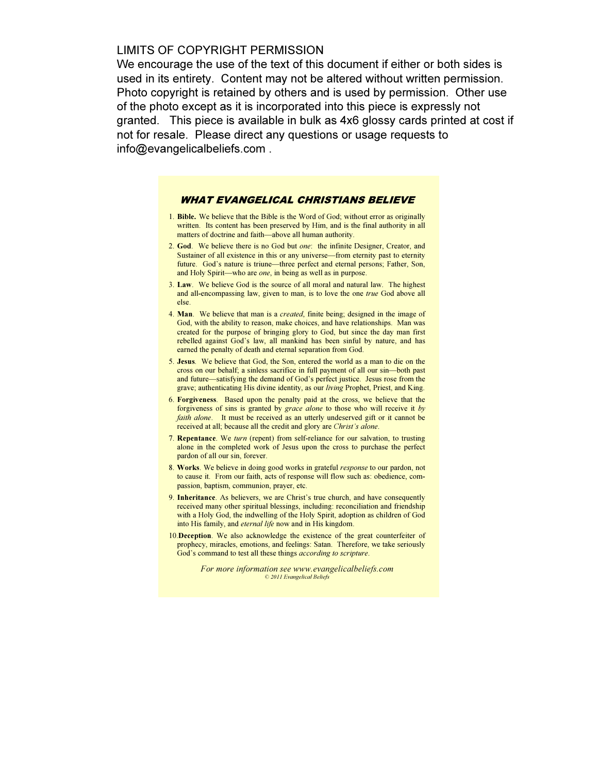## LIMITS OF COPYRIGHT PERMISSION

We encourage the use of the text of this document if either or both sides is used in its entirety. Content may not be altered without written permission. Photo copyright is retained by others and is used by permission. Other use of the photo except as it is incorporated into this piece is expressly not granted. This piece is available in bulk as 4x6 glossy cards printed at cost if not for resale. Please direct any questions or usage requests to info@evangelicalbeliefs.com .

## **WHAT EVANGELICAL CHRISTIANS BELIEVE**

- 1. Bible. We believe that the Bible is the Word of God; without error as originally written. Its content has been preserved by Him, and is the final authority in all matters of doctrine and faith—above all human authority.
- 2. God. We believe there is no God but one: the infinite Designer, Creator, and Sustainer of all existence in this or any universe—from eternity past to eternity future. God's nature is triune—three perfect and eternal persons; Father, Son, and Holy Spirit—who are one, in being as well as in purpose.
- 3. Law. We believe God is the source of all moral and natural law. The highest and all-encompassing law, given to man, is to love the one true God above all else.
- 4. Man. We believe that man is a *created*, finite being; designed in the image of God, with the ability to reason, make choices, and have relationships. Man was created for the purpose of bringing glory to God, but since the day man first rebelled against God's law, all mankind has been sinful by nature, and has earned the penalty of death and eternal separation from God.
- 5. Jesus. We believe that God, the Son, entered the world as a man to die on the cross on our behalf; a sinless sacrifice in full payment of all our sin—both past and future—satisfying the demand of God's perfect justice. Jesus rose from the grave; authenticating His divine identity, as our living Prophet, Priest, and King.
- 6. Forgiveness. Based upon the penalty paid at the cross, we believe that the forgiveness of sins is granted by grace alone to those who will receive it by faith alone. It must be received as an utterly undeserved gift or it cannot be received at all; because all the credit and glory are *Christ's alone*.
- 7. Repentance. We turn (repent) from self-reliance for our salvation, to trusting alone in the completed work of Jesus upon the cross to purchase the perfect pardon of all our sin, forever.
- 8. Works. We believe in doing good works in grateful *response* to our pardon, not to cause it. From our faith, acts of response will flow such as: obedience, compassion, baptism, communion, prayer, etc.
- 9. Inheritance. As believers, we are Christ's true church, and have consequently received many other spiritual blessings, including: reconciliation and friendship with a Holy God, the indwelling of the Holy Spirit, adoption as children of God into His family, and eternal life now and in His kingdom.
- 10.Deception. We also acknowledge the existence of the great counterfeiter of prophecy, miracles, emotions, and feelings: Satan. Therefore, we take seriously God's command to test all these things according to scripture.

For more information see www.evangelicalbeliefs.com © 2011 Evangelical Beliefs